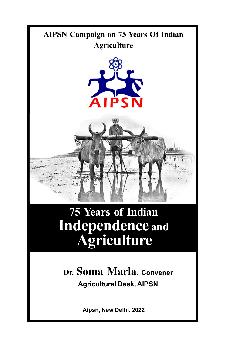

# **75 Years of Indian Independence and Agriculture**

**Dr. Soma Marla, Convener Agricultural Desk, AIPSN**

**Aipsn, New Delhi. 2022**

¡ ¡ 1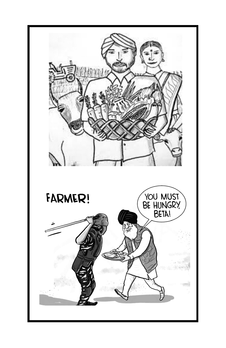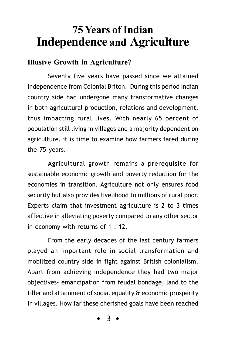# **75 Years of Indian Independence and Agriculture**

#### **Illusive Growth in Agriculture?**

Seventy five years have passed since we attained independence from Colonial Briton. During this period Indian country side had undergone many transformative changes in both agricultural production, relations and development, thus impacting rural lives. With nearly 65 percent of population still living in villages and a majority dependent on agriculture, it is time to examine how farmers fared during the 75 years.

Agricultural growth remains a prerequisite for sustainable economic growth and poverty reduction for the economies in transition. Agriculture not only ensures food security but also provides livelihood to millions of rural poor. Experts claim that investment agriculture is 2 to 3 times affective in alleviating poverty compared to any other sector in economy with returns of 1 : 12.

From the early decades of the last century farmers played an important role in social transformation and mobilized country side in fight against British colonialism. Apart from achieving independence they had two major objectives- emancipation from feudal bondage, land to the tiller and attainment of social equality & economic prosperity in villages. How far these cherished goals have been reached

 $\ddot{3}$   $\bullet$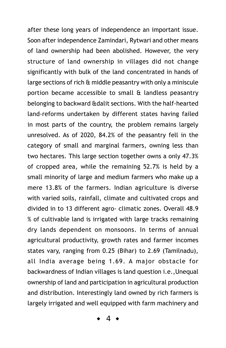after these long years of independence an important issue. Soon after independence Zamindari, Rytwari and other means of land ownership had been abolished. However, the very structure of land ownership in villages did not change significantly with bulk of the land concentrated in hands of large sections of rich & middle peasantry with only a miniscule portion became accessible to small & landless peasantry belonging to backward &dalit sections. With the half-hearted land-reforms undertaken by different states having failed in most parts of the country, the problem remains largely unresolved. As of 2020, 84.2% of the peasantry fell in the category of small and marginal farmers, owning less than two hectares. This large section together owns a only 47.3% of cropped area, while the remaining 52.7% is held by a small minority of large and medium farmers who make up a mere 13.8% of the farmers. Indian agriculture is diverse with varied soils, rainfall, climate and cultivated crops and divided in to 13 different agro- climatic zones. Overall 48.9 % of cultivable land is irrigated with large tracks remaining dry lands dependent on monsoons. In terms of annual agricultural productivity, growth rates and farmer incomes states vary, ranging from 0.25 (Bihar) to 2.69 (Tamilnadu), all India average being 1.69. A major obstacle for backwardness of Indian villages is land question i.e.,Unequal ownership of land and participation in agricultural production and distribution. Interestingly land owned by rich farmers is largely irrigated and well equipped with farm machinery and

 $4 \bullet$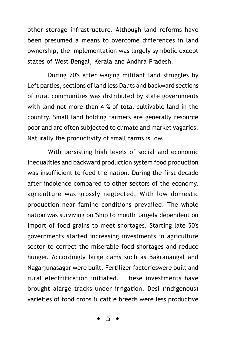other storage infrastructure. Although land reforms have been presumed a means to overcome differences in land ownership, the implementation was largely symbolic except states of West Bengal, Kerala and Andhra Pradesh.

During 70's after waging militant land struggles by Left parties, sections of land less Dalits and backward sections of rural communities was distributed by state governments with land not more than 4 % of total cultivable land in the country. Small land holding farmers are generally resource poor and are often subjected to climate and market vagaries. Naturally the productivity of small farms is low.

With persisting high levels of social and economic inequalities and backward production system food production was insufficient to feed the nation. During the first decade after indolence compared to other sectors of the economy, agriculture was grossly neglected. With low domestic production near famine conditions prevailed. The whole nation was surviving on 'Ship to mouth' largely dependent on import of food grains to meet shortages. Starting late 50's governments started increasing investments in agriculture sector to correct the miserable food shortages and reduce hunger. Accordingly large dams such as Bakranangal and Nagarjunasagar were built. Fertilizer factorieswere built and rural electrification initiated. These investments have brought alarge tracks under irrigation. Desi (indigenous) varieties of food crops & cattle breeds were less productive

 $5$  ◆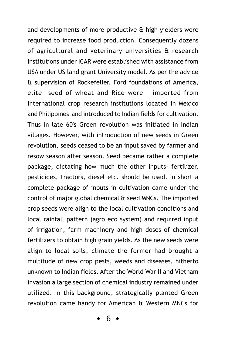and developments of more productive & high yielders were required to increase food production. Consequently dozens of agricultural and veterinary universities & research institutions under ICAR were established with assistance from USA under US land grant University model. As per the advice & supervision of Rockefeller, Ford foundations of America, elite seed of wheat and Rice were imported from International crop research institutions located in Mexico and Philippines and introduced to Indian fields for cultivation. Thus in late 60's Green revolution was initiated in Indian villages. However, with introduction of new seeds in Green revolution, seeds ceased to be an input saved by farmer and resow season after season. Seed became rather a complete package, dictating how much the other inputs- fertilizer, pesticides, tractors, diesel etc. should be used. In short a complete package of inputs in cultivation came under the control of major global chemical & seed MNCs. The imported crop seeds were align to the local cultivation conditions and local rainfall pattern (agro eco system) and required input of irrigation, farm machinery and high doses of chemical fertilizers to obtain high grain yields. As the new seeds were align to local soils, climate the former had brought a multitude of new crop pests, weeds and diseases, hitherto unknown to Indian fields. After the World War II and Vietnam invasion a large section of chemical industry remained under utilized. In this background, strategically planted Green revolution came handy for American & Western MNCs for

 $6 \rightarrow$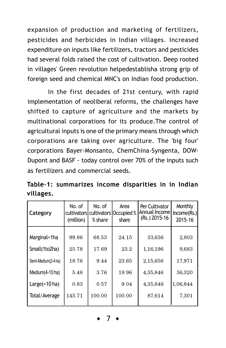expansion of production and marketing of fertilizers, pesticides and herbicides in Indian villages. Increased expenditure on inputs like fertilizers, tractors and pesticides had several folds raised the cost of cultivation. Deep rooted in villages' Green revolution helpedestablisha strong grip of foreign seed and chemical MNC's on Indian food production.

In the first decades of 21st century, with rapid implementation of neoliberal reforms, the challenges have shifted to capture of agriculture and the markets by multinational corporations for its produce.The control of agricultural inputs is one of the primary means through which corporations are taking over agriculture. The 'big four' corporations Bayer-Monsanto, ChemChina-Syngenta, DOW-Dupont and BASF - today control over 70% of the inputs such as fertilizers and commercial seeds.

Table-1: summarizes income disparities in in Indian villages.

| Category            | No. of<br>(million) | No. of<br>% share | Area<br>cultivators cultivators Occupied %<br>share | Per Cultivator<br>Annual Income<br>(Rs.) 2015-16 | Monthly<br>Income(Rs.)<br>2015-16 |
|---------------------|---------------------|-------------------|-----------------------------------------------------|--------------------------------------------------|-----------------------------------|
| Marginal<1ha        | 99.86               | 68.53             | 24.15                                               | 33,636                                           | 2,803                             |
| Small(1to2ha)       | 25.78               | 17.69             | 23.2                                                | 1,16,196                                         | 9,683                             |
| Semi-Medium(2-4 ha) | 18.76               | 9.44              | 23.65                                               | 2,15,656                                         | 17,971                            |
| Medium(4-10 ha)     | 5.48                | 3.76              | 19.96                                               | 4,35,846                                         | 36,320                            |
| Large $($ >10 ha)   | 0.83                | 0.57              | 9.04                                                | 4,35,846                                         | 1,06,844                          |
| Total/Average       | 145.71              | 100.00            | 100.00                                              | 87,614                                           | 7,301                             |

 $\overline{7}$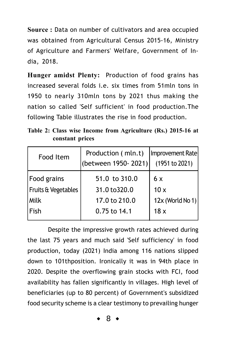**Source :** Data on number of cultivators and area occupied was obtained from Agricultural Census 2015-16, Ministry of Agriculture and Farmers' Welfare, Government of India, 2018.

**Hunger amidst Plenty:** Production of food grains has increased several folds i.e. six times from 51mln tons in 1950 to nearly 310mln tons by 2021 thus making the nation so called 'Self sufficient' in food production.The following Table illustrates the rise in food production.

**Table 2: Class wise Income from Agriculture (Rs.) 2015-16 at constant prices**

| Food Item           | Production (mln.t)<br>(between 1950-2021) | Improvement Rate<br>(1951 to 2021) |
|---------------------|-------------------------------------------|------------------------------------|
| Food grains         | 51.0 to 310.0                             | 6x                                 |
| Fruits & Vegetables | 31.0 to 320.0                             | 10x                                |
| Milk                | 17.0 to 210.0                             | 12x (World No 1)                   |
| Fish                | 0.75 to 14.1                              | 18x                                |
|                     |                                           |                                    |

Despite the impressive growth rates achieved during the last 75 years and much said 'Self sufficiency' in food production, today (2021) India among 116 nations slipped down to 101thposition. Ironically it was in 94th place in 2020. Despite the overflowing grain stocks with FCI, food availability has fallen significantly in villages. High level of beneficiaries (up to 80 percent) of Government's subsidized food security scheme is a clear testimony to prevailing hunger

 $8 \bullet$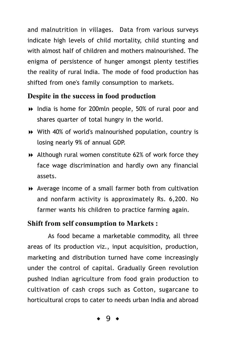and malnutrition in villages. Data from various surveys indicate high levels of child mortality, child stunting and with almost half of children and mothers malnourished. The enigma of persistence of hunger amongst plenty testifies the reality of rural India. The mode of food production has shifted from one's family consumption to markets.

#### **Despite in the success in food production**

- India is home for 200mln people, 50% of rural poor and shares quarter of total hungry in the world.
- With 40% of world's malnourished population, country is losing nearly 9% of annual GDP.
- Although rural women constitute 62% of work force they face wage discrimination and hardly own any financial assets.
- Average income of a small farmer both from cultivation and nonfarm activity is approximately Rs. 6,200. No farmer wants his children to practice farming again.

#### **Shift from self consumption to Markets :**

As food became a marketable commodity, all three areas of its production viz., input acquisition, production, marketing and distribution turned have come increasingly under the control of capital. Gradually Green revolution pushed Indian agriculture from food grain production to cultivation of cash crops such as Cotton, sugarcane to horticultural crops to cater to needs urban India and abroad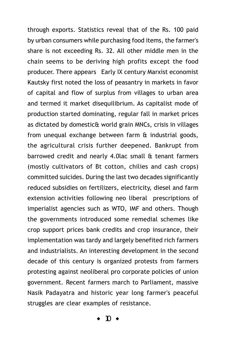through exports. Statistics reveal that of the Rs. 100 paid by urban consumers while purchasing food items, the farmer's share is not exceeding Rs. 32. All other middle men in the chain seems to be deriving high profits except the food producer. There appears Early IX century Marxist economist Kautsky first noted the loss of peasantry in markets in favor of capital and flow of surplus from villages to urban area and termed it market disequilibrium. As capitalist mode of production started dominating, regular fall in market prices as dictated by domestic& world grain MNCs, crisis in villages from unequal exchange between farm & industrial goods, the agricultural crisis further deepened. Bankrupt from barrowed credit and nearly 4.0lac small & tenant farmers (mostly cultivators of Bt cotton, chilies and cash crops) committed suicides. During the last two decades significantly reduced subsidies on fertilizers, electricity, diesel and farm extension activities following neo liberal prescriptions of imperialist agencies such as WTO, IMF and others. Though the governments introduced some remedial schemes like crop support prices bank credits and crop insurance, their implementation was tardy and largely benefited rich farmers and industrialists. An interesting development in the second decade of this century is organized protests from farmers protesting against neoliberal pro corporate policies of union government. Recent farmers march to Parliament, massive Nasik Padayatra and historic year long farmer's peaceful struggles are clear examples of resistance.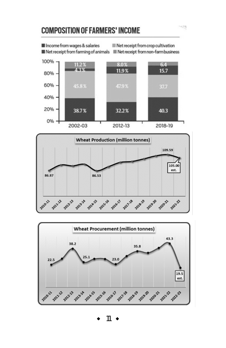## **COMPOSITION OF FARMERS' INCOME**





2017.18

**2018-19** 

**2019-20** 

zozozy

**20212** 

2014-15

**2015-16** 

2016-17

**2011-22** 

2022.33

**2013-18** 

2010-11

¡ ¡ 11

 $\mathcal{C}^{(1)}_{\mathcal{C}^{(1)}}$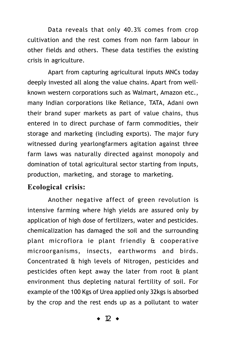Data reveals that only 40.3% comes from crop cultivation and the rest comes from non farm labour in other fields and others. These data testifies the existing crisis in agriculture.

Apart from capturing agricultural inputs MNCs today deeply invested all along the value chains. Apart from wellknown western corporations such as Walmart, Amazon etc., many Indian corporations like Reliance, TATA, Adani own their brand super markets as part of value chains, thus entered in to direct purchase of farm commodities, their storage and marketing (including exports). The major fury witnessed during yearlongfarmers agitation against three farm laws was naturally directed against monopoly and domination of total agricultural sector starting from inputs, production, marketing, and storage to marketing.

#### **Ecological crisis:**

Another negative affect of green revolution is intensive farming where high yields are assured only by application of high dose of fertilizers, water and pesticides. chemicalization has damaged the soil and the surrounding plant microflora ie plant friendly & cooperative microorganisms, insects, earthworms and birds. Concentrated & high levels of Nitrogen, pesticides and pesticides often kept away the later from root & plant environment thus depleting natural fertility of soil. For example of the 100 Kgs of Urea applied only 32kgs is absorbed by the crop and the rest ends up as a pollutant to water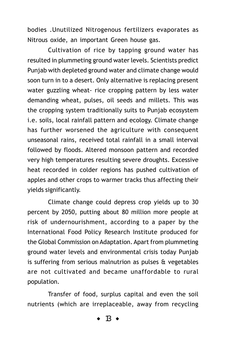bodies .Unutilized Nitrogenous fertilizers evaporates as Nitrous oxide, an important Green house gas.

Cultivation of rice by tapping ground water has resulted in plummeting ground water levels. Scientists predict Punjab with depleted ground water and climate change would soon turn in to a desert. Only alternative is replacing present water guzzling wheat- rice cropping pattern by less water demanding wheat, pulses, oil seeds and millets. This was the cropping system traditionally suits to Punjab ecosystem i.e. soils, local rainfall pattern and ecology. Climate change has further worsened the agriculture with consequent unseasonal rains, received total rainfall in a small interval followed by floods. Altered monsoon pattern and recorded very high temperatures resulting severe droughts. Excessive heat recorded in colder regions has pushed cultivation of apples and other crops to warmer tracks thus affecting their yields significantly.

Climate change could depress crop yields up to 30 percent by 2050, putting about 80 million more people at risk of undernourishment, according to a paper by the International Food Policy Research Institute produced for the Global Commission on Adaptation. Apart from plummeting ground water levels and environmental crisis today Punjab is suffering from serious malnutrion as pulses & vegetables are not cultivated and became unaffordable to rural population.

Transfer of food, surplus capital and even the soil nutrients (which are irreplaceable, away from recycling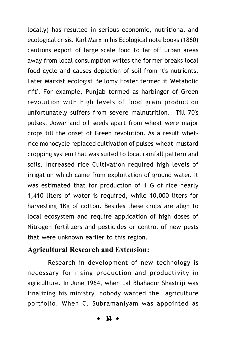locally) has resulted in serious economic, nutritional and ecological crisis. Karl Marx in his Ecological note books (1860) cautions export of large scale food to far off urban areas away from local consumption writes the former breaks local food cycle and causes depletion of soil from it's nutrients. Later Marxist ecologist Bellomy Foster termed it 'Metabolic rift'. For example, Punjab termed as harbinger of Green revolution with high levels of food grain production unfortunately suffers from severe malnutrition. Till 70's pulses, Jowar and oil seeds apart from wheat were major crops till the onset of Green revolution. As a result whetrice monocycle replaced cultivation of pulses-wheat-mustard cropping system that was suited to local rainfall pattern and soils. Increased rice Cultivation required high levels of irrigation which came from exploitation of ground water. It was estimated that for production of 1 G of rice nearly 1,410 liters of water is required, while 10,000 liters for harvesting 1Kg of cotton. Besides these crops are align to local ecosystem and require application of high doses of Nitrogen fertilizers and pesticides or control of new pests that were unknown earlier to this region.

#### **Agricultural Research and Extension:**

Research in development of new technology is necessary for rising production and productivity in agriculture. In June 1964, when Lal Bhahadur Shastriji was finalizing his ministry, nobody wanted the agriculture portfolio. When C. Subramaniyam was appointed as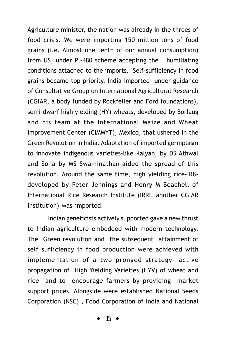Agriculture minister, the nation was already in the throes of food crisis. We were importing 150 million tons of food grains (i.e. Almost one tenth of our annual consumption) from US, under Pl-480 scheme accepting the humiliating conditions attached to the imports. Self-sufficiency in food grains became top priority. India imported under guidance of Consultative Group on International Agricultural Research (CGIAR, a body funded by Rockfeller and Ford foundations), semi-dwarf high yielding (HY) wheats, developed by Borlaug and his team at the International Maize and Wheat Improvement Center (CIMMYT), Mexico, that ushered in the Green Revolution in India. Adaptation of imported germplasm to innovate indigenous varieties-like Kalyan, by DS Athwal and Sona by MS Swaminathan-aided the spread of this revolution. Around the same time, high yielding rice-IR8 developed by Peter Jennings and Henry M Beachell of International Rice Research Institute (IRRI, another CGIAR institution) was imported.

Indian geneticists actively supported gave a new thrust to Indian agriculture embedded with modern technology. The Green revolution and the subsequent attainment of self sufficiency in food production were achieved with implementation of a two pronged strategy- active propagation of High Yielding Varieties (HYV) of wheat and rice and to encourage farmers by providing market support prices. Alongside were established National Seeds Corporation (NSC) , Food Corporation of India and National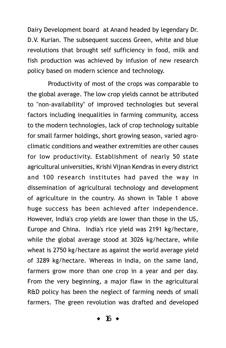Dairy Development board at Anand headed by legendary Dr. D.V. Kurian. The subsequent success Green, white and blue revolutions that brought self sufficiency in food, milk and fish production was achieved by infusion of new research policy based on modern science and technology.

Productivity of most of the crops was comparable to the global average. The low crop yields cannot be attributed to "non-availability" of improved technologies but several factors including inequalities in farming community, access to the modern technologies, lack of crop technology suitable for small farmer holdings, short growing season, varied agroclimatic conditions and weather extremities are other causes for low productivity. Establishment of nearly 50 state agricultural universities, Krishi Vijnan Kendras in every district and 100 research institutes had paved the way in dissemination of agricultural technology and development of agriculture in the country. As shown in Table 1 above huge success has been achieved after independence. However, India's crop yields are lower than those in the US, Europe and China. India's rice yield was 2191 kg/hectare, while the global average stood at 3026 kg/hectare, while wheat is 2750 kg/hectare as against the world average yield of 3289 kg/hectare. Whereas in India, on the same land, farmers grow more than one crop in a year and per day. From the very beginning, a major flaw in the agricultural R&D policy has been the neglect of farming needs of small farmers. The green revolution was drafted and developed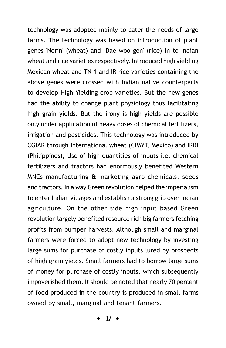technology was adopted mainly to cater the needs of large farms. The technology was based on introduction of plant genes 'Norin' (wheat) and "Dae woo gen' (rice) in to Indian wheat and rice varieties respectively. Introduced high yielding Mexican wheat and TN 1 and IR rice varieties containing the above genes were crossed with Indian native counterparts to develop High Yielding crop varieties. But the new genes had the ability to change plant physiology thus facilitating high grain yields. But the irony is high yields are possible only under application of heavy doses of chemical fertilizers, irrigation and pesticides. This technology was introduced by CGIAR through International wheat (CIMYT, Mexico) and IRRI (Philippines), Use of high quantities of inputs i.e. chemical fertilizers and tractors had enormously benefited Western MNCs manufacturing & marketing agro chemicals, seeds and tractors. In a way Green revolution helped the imperialism to enter Indian villages and establish a strong grip over Indian agriculture. On the other side high input based Green revolution largely benefited resource rich big farmers fetching profits from bumper harvests. Although small and marginal farmers were forced to adopt new technology by investing large sums for purchase of costly inputs lured by prospects of high grain yields. Small farmers had to borrow large sums of money for purchase of costly inputs, which subsequently impoverished them. It should be noted that nearly 70 percent of food produced in the country is produced in small farms owned by small, marginal and tenant farmers.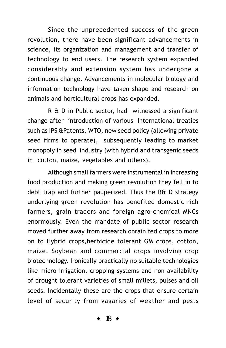Since the unprecedented success of the green revolution, there have been significant advancements in science, its organization and management and transfer of technology to end users. The research system expanded considerably and extension system has undergone a continuous change. Advancements in molecular biology and information technology have taken shape and research on animals and horticultural crops has expanded.

R & D in Public sector, had witnessed a significant change after introduction of various International treaties such as IPS &Patents, WTO, new seed policy (allowing private seed firms to operate), subsequently leading to market monopoly in seed industry (with hybrid and transgenic seeds in cotton, maize, vegetables and others).

Although small farmers were instrumental in increasing food production and making green revolution they fell in to debt trap and further pauperized. Thus the R& D strategy underlying green revolution has benefited domestic rich farmers, grain traders and foreign agro-chemical MNCs enormously. Even the mandate of public sector research moved further away from research onrain fed crops to more on to Hybrid crops,herbicide tolerant GM crops, cotton, maize, Soybean and commercial crops involving crop biotechnology. Ironically practically no suitable technologies like micro irrigation, cropping systems and non availability of drought tolerant varieties of small millets, pulses and oil seeds. Incidentally these are the crops that ensure certain level of security from vagaries of weather and pests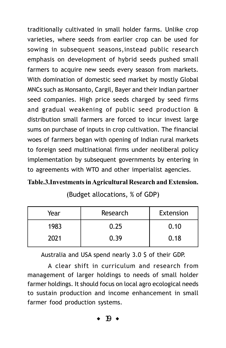traditionally cultivated in small holder farms. Unlike crop varieties, where seeds from earlier crop can be used for sowing in subsequent seasons,instead public research emphasis on development of hybrid seeds pushed small farmers to acquire new seeds every season from markets. With domination of domestic seed market by mostly Global MNCs such as Monsanto, Cargil, Bayer and their Indian partner seed companies. High price seeds charged by seed firms and gradual weakening of public seed production & distribution small farmers are forced to incur invest large sums on purchase of inputs in crop cultivation. The financial woes of farmers began with opening of Indian rural markets to foreign seed multinational firms under neoliberal policy implementation by subsequent governments by entering in to agreements with WTO and other imperialist agencies.

#### **Table.3.Investments in Agricultural Research and Extension.**

(Budget allocations, % of GDP)

| Year | Research | Extension |
|------|----------|-----------|
| 1983 | 0.25     | 0.10      |
| 2021 | 0.39     | 0.18      |

Australia and USA spend nearly 3.0 \$ of their GDP.

A clear shift in curriculum and research from management of larger holdings to needs of small holder farmer holdings. It should focus on local agro ecological needs to sustain production and income enhancement in small farmer food production systems.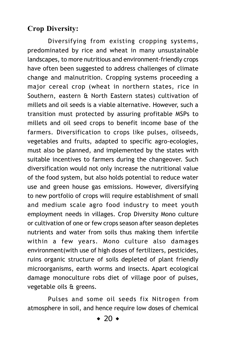### **Crop Diversity:**

Diversifying from existing cropping systems, predominated by rice and wheat in many unsustainable landscapes, to more nutritious and environment-friendly crops have often been suggested to address challenges of climate change and malnutrition. Cropping systems proceeding a major cereal crop (wheat in northern states, rice in Southern, eastern & North Eastern states) cultivation of millets and oil seeds is a viable alternative. However, such a transition must protected by assuring profitable MSPs to millets and oil seed crops to benefit income base of the farmers. Diversification to crops like pulses, oilseeds, vegetables and fruits, adapted to specific agro-ecologies, must also be planned, and implemented by the states with suitable incentives to farmers during the changeover. Such diversification would not only increase the nutritional value of the food system, but also holds potential to reduce water use and green house gas emissions. However, diversifying to new portfolio of crops will require establishment of small and medium scale agro food industry to meet youth employment needs in villages. Crop Diversity Mono culture or cultivation of one or few crops season after season depletes nutrients and water from soils thus making them infertile within a few years. Mono culture also damages environment(with use of high doses of fertilizers, pesticides, ruins organic structure of soils depleted of plant friendly microorganisms, earth worms and insects. Apart ecological damage monoculture robs diet of village poor of pulses, vegetable oils & greens.

Pulses and some oil seeds fix Nitrogen from atmosphere in soil, and hence require low doses of chemical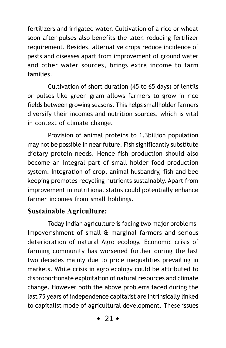fertilizers and irrigated water. Cultivation of a rice or wheat soon after pulses also benefits the later, reducing fertilizer requirement. Besides, alternative crops reduce incidence of pests and diseases apart from improvement of ground water and other water sources, brings extra income to farm families.

Cultivation of short duration (45 to 65 days) of lentils or pulses like green gram allows farmers to grow in rice fields between growing seasons. This helps smallholder farmers diversify their incomes and nutrition sources, which is vital in context of climate change.

Provision of animal proteins to 1.3billion population may not be possible in near future. Fish significantly substitute dietary protein needs. Hence fish production should also become an integral part of small holder food production system. Integration of crop, animal husbandry, fish and bee keeping promotes recycling nutrients sustainably. Apart from improvement in nutritional status could potentially enhance farmer incomes from small holdings.

#### **Sustainable Agriculture:**

Today Indian agriculture is facing two major problems-Impoverishment of small & marginal farmers and serious deterioration of natural Agro ecology. Economic crisis of farming community has worsened further during the last two decades mainly due to price inequalities prevailing in markets. While crisis in agro ecology could be attributed to disproportionate exploitation of natural resources and climate change. However both the above problems faced during the last 75 years of independence capitalist are intrinsically linked to capitalist mode of agricultural development. These issues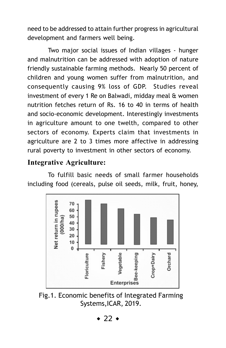need to be addressed to attain further progress in agricultural development and farmers well being.

Two major social issues of Indian villages - hunger and malnutrition can be addressed with adoption of nature friendly sustainable farming methods. Nearly 50 percent of children and young women suffer from malnutrition, and consequently causing 9% loss of GDP. Studies reveal investment of every 1 Re on Balwadi, midday meal & women nutrition fetches return of Rs. 16 to 40 in terms of health and socio-economic development. Interestingly investments in agriculture amount to one twelth, compared to other sectors of economy. Experts claim that investments in agriculture are 2 to 3 times more affective in addressing rural poverty to investment in other sectors of economy.

#### **Integrative Agriculture:**

To fulfill basic needs of small farmer households including food (cereals, pulse oil seeds, milk, fruit, honey,



Fig.1. Economic benefits of Integrated Farming Systems,ICAR, 2019.

 $\bullet$  22  $\bullet$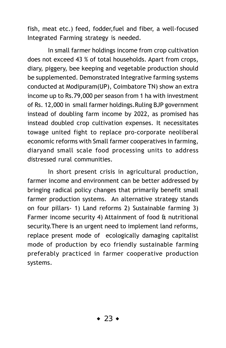fish, meat etc.) feed, fodder,fuel and fiber, a well-focused Integrated Farming strategy is needed.

In small farmer holdings income from crop cultivation does not exceed 43 % of total households. Apart from crops, diary, piggery, bee keeping and vegetable production should be supplemented. Demonstrated Integrative farming systems conducted at Modipuram(UP), Coimbatore TN) show an extra income up to Rs.79,000 per season from 1 ha with investment of Rs. 12,000 in small farmer holdings.Ruling BJP government instead of doubling farm income by 2022, as promised has instead doubled crop cultivation expenses. It necessitates towage united fight to replace pro-corporate neoliberal economic reforms with Small farmer cooperatives in farming, diaryand small scale food processing units to address distressed rural communities.

In short present crisis in agricultural production, farmer income and environment can be better addressed by bringing radical policy changes that primarily benefit small farmer production systems. An alternative strategy stands on four pillars- 1) Land reforms 2) Sustainable farming 3) Farmer income security 4) Attainment of food & nutritional security.There is an urgent need to implement land reforms, replace present mode of ecologically damaging capitalist mode of production by eco friendly sustainable farming preferably practiced in farmer cooperative production systems.